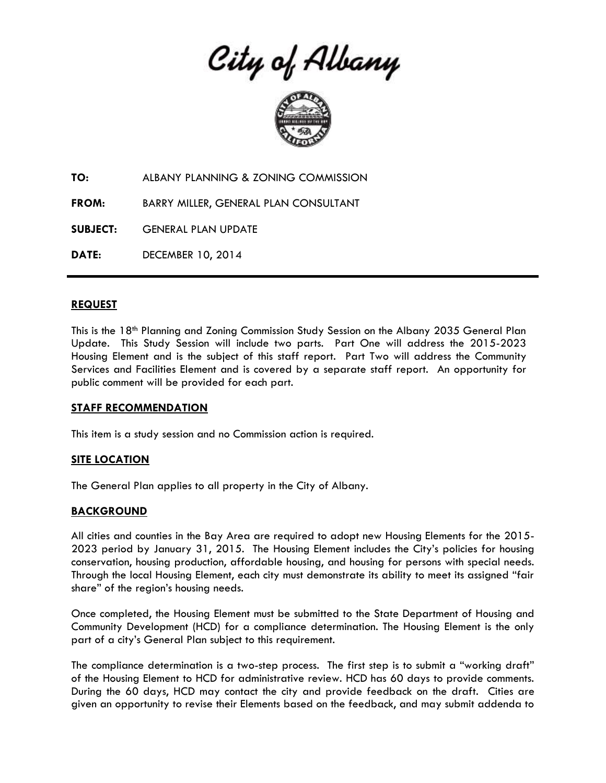City of Albany



**TO:** ALBANY PLANNING & ZONING COMMISSION

**FROM:** BARRY MILLER, GENERAL PLAN CONSULTANT

**SUBJECT:** GENERAL PLAN UPDATE

**DATE:** DECEMBER 10, 2014

#### **REQUEST**

This is the 18th Planning and Zoning Commission Study Session on the Albany 2035 General Plan Update. This Study Session will include two parts. Part One will address the 2015-2023 Housing Element and is the subject of this staff report. Part Two will address the Community Services and Facilities Element and is covered by a separate staff report. An opportunity for public comment will be provided for each part.

#### **STAFF RECOMMENDATION**

This item is a study session and no Commission action is required.

## **SITE LOCATION**

The General Plan applies to all property in the City of Albany.

#### **BACKGROUND**

All cities and counties in the Bay Area are required to adopt new Housing Elements for the 2015- 2023 period by January 31, 2015. The Housing Element includes the City's policies for housing conservation, housing production, affordable housing, and housing for persons with special needs. Through the local Housing Element, each city must demonstrate its ability to meet its assigned "fair share" of the region's housing needs.

Once completed, the Housing Element must be submitted to the State Department of Housing and Community Development (HCD) for a compliance determination. The Housing Element is the only part of a city's General Plan subject to this requirement.

The compliance determination is a two-step process. The first step is to submit a "working draft" of the Housing Element to HCD for administrative review. HCD has 60 days to provide comments. During the 60 days, HCD may contact the city and provide feedback on the draft. Cities are given an opportunity to revise their Elements based on the feedback, and may submit addenda to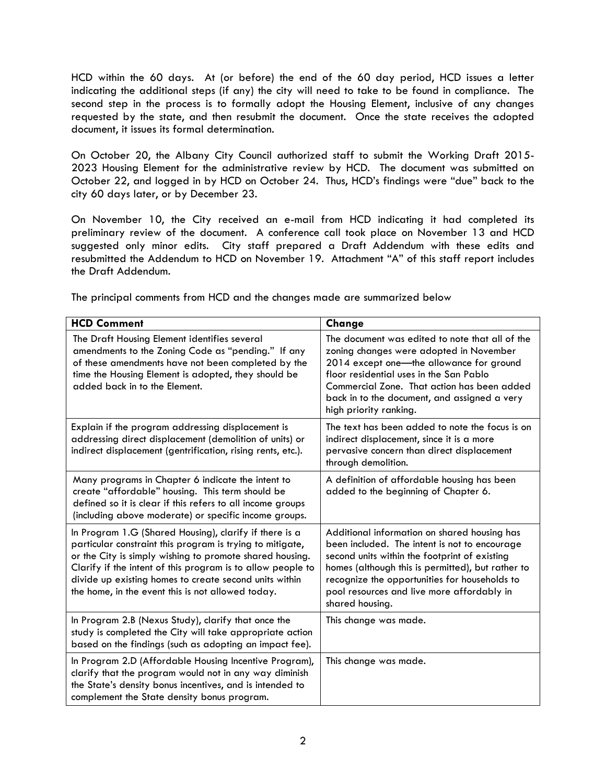HCD within the 60 days. At (or before) the end of the 60 day period, HCD issues a letter indicating the additional steps (if any) the city will need to take to be found in compliance. The second step in the process is to formally adopt the Housing Element, inclusive of any changes requested by the state, and then resubmit the document. Once the state receives the adopted document, it issues its formal determination.

On October 20, the Albany City Council authorized staff to submit the Working Draft 2015- 2023 Housing Element for the administrative review by HCD. The document was submitted on October 22, and logged in by HCD on October 24. Thus, HCD's findings were "due" back to the city 60 days later, or by December 23.

On November 10, the City received an e-mail from HCD indicating it had completed its preliminary review of the document. A conference call took place on November 13 and HCD suggested only minor edits. City staff prepared a Draft Addendum with these edits and resubmitted the Addendum to HCD on November 19. Attachment "A" of this staff report includes the Draft Addendum.

The principal comments from HCD and the changes made are summarized below

| <b>HCD Comment</b>                                                                                                                                                                                                                                                                                                                                            | Change                                                                                                                                                                                                                                                                                                                |
|---------------------------------------------------------------------------------------------------------------------------------------------------------------------------------------------------------------------------------------------------------------------------------------------------------------------------------------------------------------|-----------------------------------------------------------------------------------------------------------------------------------------------------------------------------------------------------------------------------------------------------------------------------------------------------------------------|
| The Draft Housing Element identifies several<br>amendments to the Zoning Code as "pending." If any<br>of these amendments have not been completed by the<br>time the Housing Element is adopted, they should be<br>added back in to the Element.                                                                                                              | The document was edited to note that all of the<br>zoning changes were adopted in November<br>2014 except one-the allowance for ground<br>floor residential uses in the San Pablo<br>Commercial Zone. That action has been added<br>back in to the document, and assigned a very<br>high priority ranking.            |
| Explain if the program addressing displacement is<br>addressing direct displacement (demolition of units) or<br>indirect displacement (gentrification, rising rents, etc.).                                                                                                                                                                                   | The text has been added to note the focus is on<br>indirect displacement, since it is a more<br>pervasive concern than direct displacement<br>through demolition.                                                                                                                                                     |
| Many programs in Chapter 6 indicate the intent to<br>create "affordable" housing. This term should be<br>defined so it is clear if this refers to all income groups<br>(including above moderate) or specific income groups.                                                                                                                                  | A definition of affordable housing has been<br>added to the beginning of Chapter 6.                                                                                                                                                                                                                                   |
| In Program 1.G (Shared Housing), clarify if there is a<br>particular constraint this program is trying to mitigate,<br>or the City is simply wishing to promote shared housing.<br>Clarify if the intent of this program is to allow people to<br>divide up existing homes to create second units within<br>the home, in the event this is not allowed today. | Additional information on shared housing has<br>been included. The intent is not to encourage<br>second units within the footprint of existing<br>homes (although this is permitted), but rather to<br>recognize the opportunities for households to<br>pool resources and live more affordably in<br>shared housing. |
| In Program 2.B (Nexus Study), clarify that once the<br>study is completed the City will take appropriate action<br>based on the findings (such as adopting an impact fee).                                                                                                                                                                                    | This change was made.                                                                                                                                                                                                                                                                                                 |
| In Program 2.D (Affordable Housing Incentive Program),<br>clarify that the program would not in any way diminish<br>the State's density bonus incentives, and is intended to<br>complement the State density bonus program.                                                                                                                                   | This change was made.                                                                                                                                                                                                                                                                                                 |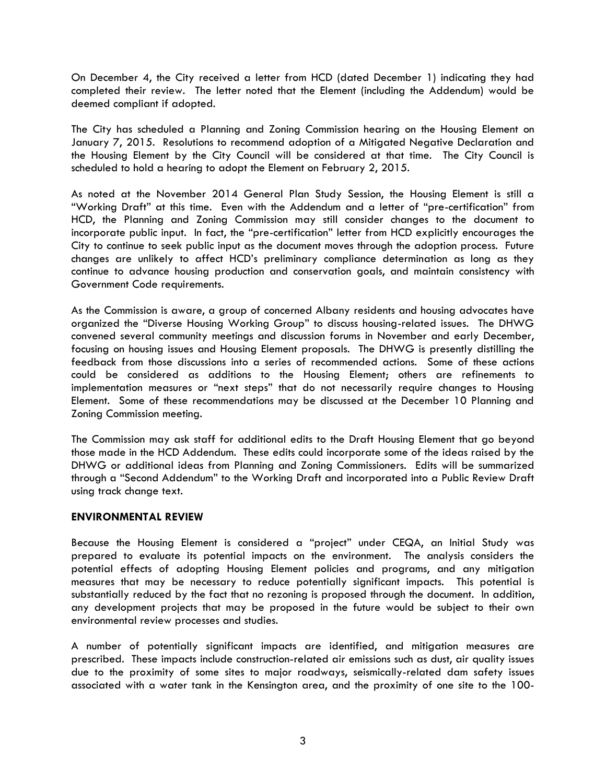On December 4, the City received a letter from HCD (dated December 1) indicating they had completed their review. The letter noted that the Element (including the Addendum) would be deemed compliant if adopted.

The City has scheduled a Planning and Zoning Commission hearing on the Housing Element on January 7, 2015. Resolutions to recommend adoption of a Mitigated Negative Declaration and the Housing Element by the City Council will be considered at that time. The City Council is scheduled to hold a hearing to adopt the Element on February 2, 2015.

As noted at the November 2014 General Plan Study Session, the Housing Element is still a "Working Draft" at this time. Even with the Addendum and a letter of "pre-certification" from HCD, the Planning and Zoning Commission may still consider changes to the document to incorporate public input. In fact, the "pre-certification" letter from HCD explicitly encourages the City to continue to seek public input as the document moves through the adoption process. Future changes are unlikely to affect HCD's preliminary compliance determination as long as they continue to advance housing production and conservation goals, and maintain consistency with Government Code requirements.

As the Commission is aware, a group of concerned Albany residents and housing advocates have organized the "Diverse Housing Working Group" to discuss housing-related issues. The DHWG convened several community meetings and discussion forums in November and early December, focusing on housing issues and Housing Element proposals. The DHWG is presently distilling the feedback from those discussions into a series of recommended actions. Some of these actions could be considered as additions to the Housing Element; others are refinements to implementation measures or "next steps" that do not necessarily require changes to Housing Element. Some of these recommendations may be discussed at the December 10 Planning and Zoning Commission meeting.

The Commission may ask staff for additional edits to the Draft Housing Element that go beyond those made in the HCD Addendum. These edits could incorporate some of the ideas raised by the DHWG or additional ideas from Planning and Zoning Commissioners. Edits will be summarized through a "Second Addendum" to the Working Draft and incorporated into a Public Review Draft using track change text.

#### **ENVIRONMENTAL REVIEW**

Because the Housing Element is considered a "project" under CEQA, an Initial Study was prepared to evaluate its potential impacts on the environment. The analysis considers the potential effects of adopting Housing Element policies and programs, and any mitigation measures that may be necessary to reduce potentially significant impacts. This potential is substantially reduced by the fact that no rezoning is proposed through the document. In addition, any development projects that may be proposed in the future would be subject to their own environmental review processes and studies.

A number of potentially significant impacts are identified, and mitigation measures are prescribed. These impacts include construction-related air emissions such as dust, air quality issues due to the proximity of some sites to major roadways, seismically-related dam safety issues associated with a water tank in the Kensington area, and the proximity of one site to the 100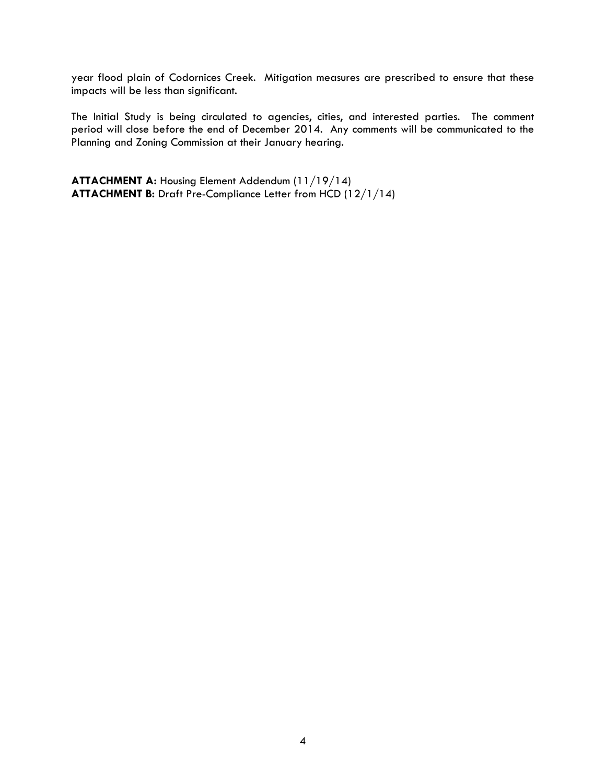year flood plain of Codornices Creek. Mitigation measures are prescribed to ensure that these impacts will be less than significant.

The Initial Study is being circulated to agencies, cities, and interested parties. The comment period will close before the end of December 2014. Any comments will be communicated to the Planning and Zoning Commission at their January hearing.

**ATTACHMENT A:** Housing Element Addendum (11/19/14) **ATTACHMENT B:** Draft Pre-Compliance Letter from HCD (12/1/14)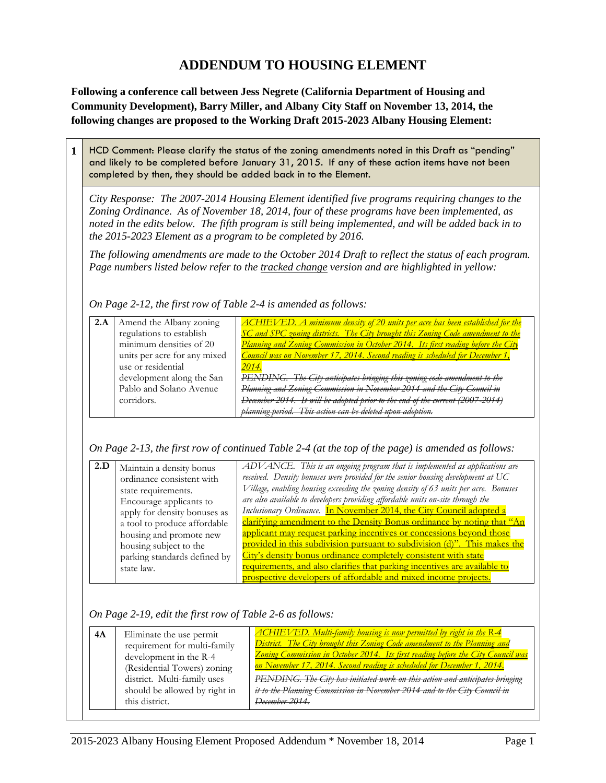# **ADDENDUM TO HOUSING ELEMENT**

**Following a conference call between Jess Negrete (California Department of Housing and Community Development), Barry Miller, and Albany City Staff on November 13, 2014, the following changes are proposed to the Working Draft 2015-2023 Albany Housing Element:** 

**1** HCD Comment: Please clarify the status of the zoning amendments noted in this Draft as "pending" and likely to be completed before January 31, 2015. If any of these action items have not been completed by then, they should be added back in to the Element.

*City Response: The 2007-2014 Housing Element identified five programs requiring changes to the Zoning Ordinance. As of November 18, 2014, four of these programs have been implemented, as noted in the edits below. The fifth program is still being implemented, and will be added back in to the 2015-2023 Element as a program to be completed by 2016.* 

*The following amendments are made to the October 2014 Draft to reflect the status of each program. Page numbers listed below refer to the tracked change version and are highlighted in yellow:*

*On Page 2-12, the first row of Table 2-4 is amended as follows:*

| 2.A | Amend the Albany zoning      | <b>ACHIEVED.</b> A minimum density of 20 units per acre has been established for the |
|-----|------------------------------|--------------------------------------------------------------------------------------|
|     | regulations to establish     | SC and SPC zoning districts. The City brought this Zoning Code amendment to the      |
|     | minimum densities of 20      | Planning and Zoning Commission in October 2014. Its first reading before the City    |
|     | units per acre for any mixed | Council was on November 17, 2014. Second reading is scheduled for December 1,        |
|     | use or residential           | 2014.                                                                                |
|     | development along the San    | PENDING. The City anticipates bringing this zoning code amendment to the             |
|     | Pablo and Solano Avenue      | Planning and Zoning Commission in November 2014 and the City Council in              |
|     | corridors.                   | December 2014. It will be adopted prior to the end of the current (2007-2014)        |
|     |                              | This action can be deleted when adopt                                                |

## *On Page 2-13, the first row of continued Table 2-4 (at the top of the page) is amended as follows:*

| 2.D | Maintain a density bonus     | ADVANCE. This is an ongoing program that is implemented as applications are          |
|-----|------------------------------|--------------------------------------------------------------------------------------|
|     | ordinance consistent with    | received. Density bonuses were provided for the senior housing development at UC     |
|     | state requirements.          | Village, enabling housing exceeding the zoning density of 63 units per acre. Bonuses |
|     | Encourage applicants to      | are also available to developers providing affordable units on-site through the      |
|     | apply for density bonuses as | Inclusionary Ordinance. In November 2014, the City Council adopted a                 |
|     | a tool to produce affordable | clarifying amendment to the Density Bonus ordinance by noting that "An               |
|     | housing and promote new      | applicant may request parking incentives or concessions beyond those                 |
|     | housing subject to the       | provided in this subdivision pursuant to subdivision (d)". This makes the            |
|     | parking standards defined by | City's density bonus ordinance completely consistent with state                      |
|     |                              | requirements, and also clarifies that parking incentives are available to            |
|     | state law.                   |                                                                                      |
|     |                              | prospective developers of affordable and mixed income projects.                      |

## *On Page 2-19, edit the first row of Table 2-6 as follows:*

| 4A | Eliminate the use permit<br>requirement for multi-family<br>development in the R-4<br>(Residential Towers) zoning<br>district. Multi-family uses | <b>ACHIEVED.</b> Multi-family housing is now permitted by right in the R-4<br>District. The City brought this Zoning Code amendment to the Planning and<br><u>Zoning Commission in October 2014. Its first reading before the City Council was</u><br>on November 17, 2014. Second reading is scheduled for December 1, 2014.<br>PENDING. The City has initiated work on this action and anticipates bringing |
|----|--------------------------------------------------------------------------------------------------------------------------------------------------|---------------------------------------------------------------------------------------------------------------------------------------------------------------------------------------------------------------------------------------------------------------------------------------------------------------------------------------------------------------------------------------------------------------|
|    | should be allowed by right in<br>this district.                                                                                                  | it to the Planning Commission in November 2014 and to the City Council in<br>December 2014.                                                                                                                                                                                                                                                                                                                   |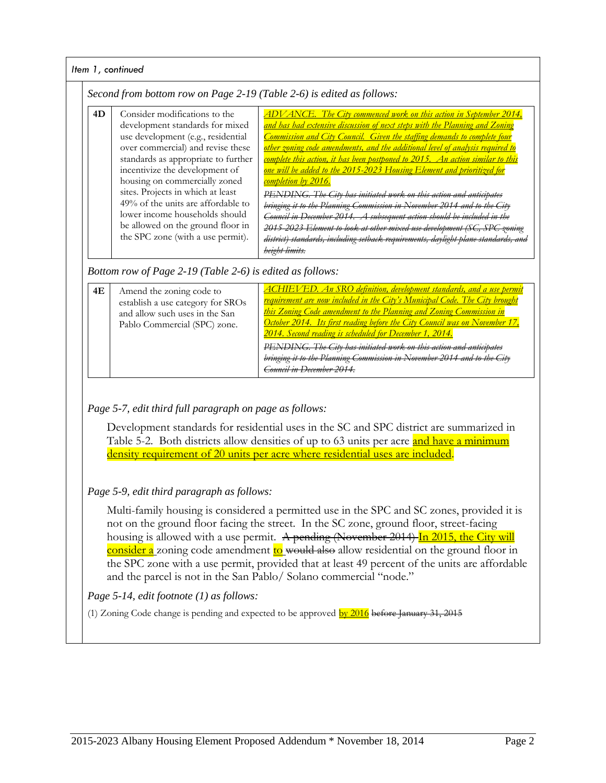#### *Item 1, continued Second from bottom row on Page 2-19 (Table 2-6) is edited as follows:* **4D** Consider modifications to the development standards for mixed use development (e.g., residential over commercial) and revise these standards as appropriate to further incentivize the development of housing on commercially zoned sites. Projects in which at least 49% of the units are affordable to lower income households should be allowed on the ground floor in the SPC zone (with a use permit). *ADVANCE. The City commenced work on this action in September 2014, and has had extensive discussion of next steps with the Planning and Zoning Commission and City Council. Given the staffing demands to complete four other zoning code amendments, and the additional level of analysis required to complete this action, it has been postponed to 2015. An action similar to this one will be added to the 2015-2023 Housing Element and prioritized for completion by 2016. PENDING. The City has initiated work on this action and anticipates bringing it to the Planning Commission in November 2014 and to the City Council in December 2014. A subsequent action should be included in the 2015-2023 Element to look at other mixed use development (SC, SPC zoning district) standards, including setback requirements, daylight plane standards, and height limits. Bottom row of Page 2-19 (Table 2-6) is edited as follows:* **4E** Amend the zoning code to establish a use category for SROs and allow such uses in the San Pablo Commercial (SPC) zone. *ACHIEVED. An SRO definition, development standards, and a use permit requirement are now included in the City's Municipal Code. The City brought this Zoning Code amendment to the Planning and Zoning Commission in October 2014. Its first reading before the City Council was on November 17, 2014. Second reading is scheduled for December 1, 2014.*

# *Page 5-7, edit third full paragraph on page as follows:*

Development standards for residential uses in the SC and SPC district are summarized in Table 5-2. Both districts allow densities of up to 63 units per acre and have a minimum density requirement of 20 units per acre where residential uses are included.

*Council in December 2014.* 

PENDING. The City has initiated work on this action and **bringing it to the Planning Commission in November 2014** 

# *Page 5-9, edit third paragraph as follows:*

Multi-family housing is considered a permitted use in the SPC and SC zones, provided it is not on the ground floor facing the street. In the SC zone, ground floor, street-facing housing is allowed with a use permit. A pending (November 2014) In 2015, the City will consider a zoning code amendment to would also allow residential on the ground floor in the SPC zone with a use permit, provided that at least 49 percent of the units are affordable and the parcel is not in the San Pablo/ Solano commercial "node."

## *Page 5-14, edit footnote (1) as follows:*

(1) Zoning Code change is pending and expected to be approved  $bv 2016$ </u> before January 31, 2015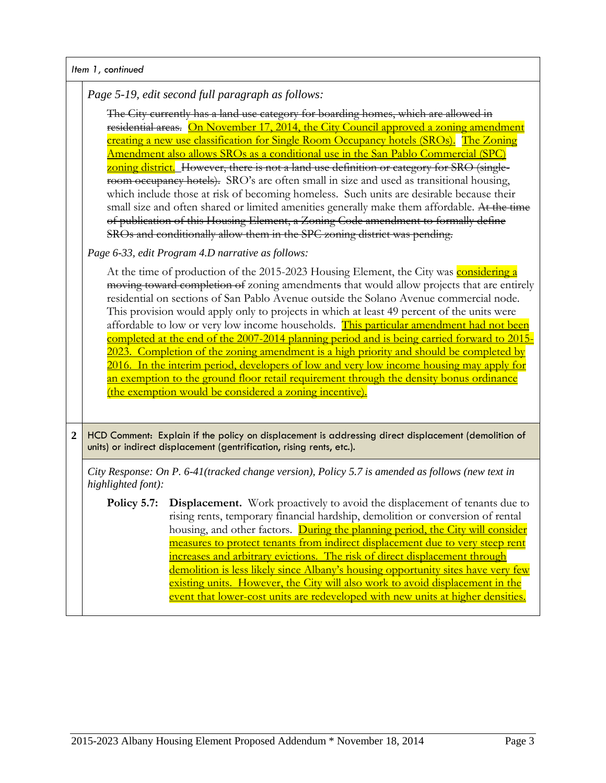|  | Item 1, continued |
|--|-------------------|
|  |                   |

*Page 5-19, edit second full paragraph as follows:*

The City currently has a land use category for boarding homes, which are allowed in residential areas. On November 17, 2014, the City Council approved a zoning amendment creating a new use classification for Single Room Occupancy hotels (SROs). The Zoning Amendment also allows SROs as a conditional use in the San Pablo Commercial (SPC) zoning district. However, there is not a land use definition or category for SRO (singleroom occupancy hotels). SRO's are often small in size and used as transitional housing, which include those at risk of becoming homeless. Such units are desirable because their small size and often shared or limited amenities generally make them affordable. At the time of publication of this Housing Element, a Zoning Code amendment to formally define SROs and conditionally allow them in the SPC zoning district was pending.

*Page 6-33, edit Program 4.D narrative as follows:*

At the time of production of the 2015-2023 Housing Element, the City was **considering a** moving toward completion of zoning amendments that would allow projects that are entirely residential on sections of San Pablo Avenue outside the Solano Avenue commercial node. This provision would apply only to projects in which at least 49 percent of the units were affordable to low or very low income households. This particular amendment had not been completed at the end of the 2007-2014 planning period and is being carried forward to 2015- 2023. Completion of the zoning amendment is a high priority and should be completed by 2016. In the interim period, developers of low and very low income housing may apply for an exemption to the ground floor retail requirement through the density bonus ordinance (the exemption would be considered a zoning incentive).

**2** HCD Comment: Explain if the policy on displacement is addressing direct displacement (demolition of units) or indirect displacement (gentrification, rising rents, etc.).

*City Response: On P. 6-41(tracked change version), Policy 5.7 is amended as follows (new text in highlighted font):*

**Policy 5.7:** Displacement. Work proactively to avoid the displacement of tenants due to rising rents, temporary financial hardship, demolition or conversion of rental housing, and other factors. During the planning period, the City will consider measures to protect tenants from indirect displacement due to very steep rent increases and arbitrary evictions. The risk of direct displacement through demolition is less likely since Albany's housing opportunity sites have very few existing units. However, the City will also work to avoid displacement in the event that lower-cost units are redeveloped with new units at higher densities.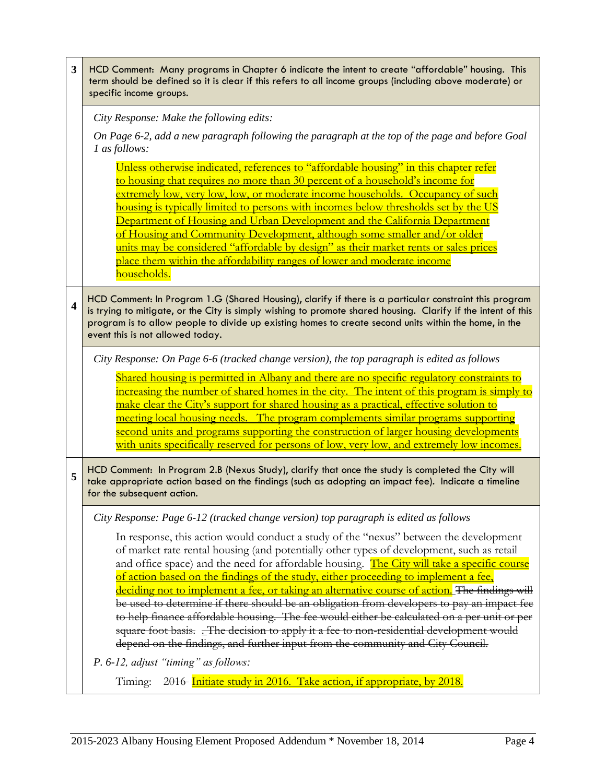| 3                       | HCD Comment: Many programs in Chapter 6 indicate the intent to create "affordable" housing. This<br>term should be defined so it is clear if this refers to all income groups (including above moderate) or<br>specific income groups.                                                                                                                                                                                                                                                                                                                                                                                                                                                                                                                                                                                                                     |  |  |  |
|-------------------------|------------------------------------------------------------------------------------------------------------------------------------------------------------------------------------------------------------------------------------------------------------------------------------------------------------------------------------------------------------------------------------------------------------------------------------------------------------------------------------------------------------------------------------------------------------------------------------------------------------------------------------------------------------------------------------------------------------------------------------------------------------------------------------------------------------------------------------------------------------|--|--|--|
|                         | City Response: Make the following edits:                                                                                                                                                                                                                                                                                                                                                                                                                                                                                                                                                                                                                                                                                                                                                                                                                   |  |  |  |
|                         | On Page 6-2, add a new paragraph following the paragraph at the top of the page and before Goal<br>1 as follows:                                                                                                                                                                                                                                                                                                                                                                                                                                                                                                                                                                                                                                                                                                                                           |  |  |  |
|                         | Unless otherwise indicated, references to "affordable housing" in this chapter refer<br><u>to housing that requires no more than 30 percent of a household's income for</u><br>extremely low, very low, low, or moderate income households. Occupancy of such<br><u>housing is typically limited to persons with incomes below thresholds set by the US</u><br>Department of Housing and Urban Development and the California Department<br>of Housing and Community Development, although some smaller and/or older<br>units may be considered "affordable by design" as their market rents or sales prices<br>place them within the affordability ranges of lower and moderate income<br><u>households.</u>                                                                                                                                              |  |  |  |
| $\overline{\mathbf{4}}$ | HCD Comment: In Program 1.G (Shared Housing), clarify if there is a particular constraint this program<br>is trying to mitigate, or the City is simply wishing to promote shared housing. Clarify if the intent of this<br>program is to allow people to divide up existing homes to create second units within the home, in the<br>event this is not allowed today.                                                                                                                                                                                                                                                                                                                                                                                                                                                                                       |  |  |  |
|                         | City Response: On Page 6-6 (tracked change version), the top paragraph is edited as follows                                                                                                                                                                                                                                                                                                                                                                                                                                                                                                                                                                                                                                                                                                                                                                |  |  |  |
|                         | <u>Shared housing is permitted in Albany and there are no specific regulatory constraints to</u><br>increasing the number of shared homes in the city. The intent of this program is simply to<br>make clear the City's support for shared housing as a practical, effective solution to<br><u>meeting local housing needs. The program complements similar programs supporting</u><br>second units and programs supporting the construction of larger housing developments<br>with units specifically reserved for persons of low, very low, and extremely low incomes.                                                                                                                                                                                                                                                                                   |  |  |  |
| 5                       | HCD Comment: In Program 2.B (Nexus Study), clarify that once the study is completed the City will<br>take appropriate action based on the findings (such as adopting an impact fee). Indicate a timeline<br>for the subsequent action.                                                                                                                                                                                                                                                                                                                                                                                                                                                                                                                                                                                                                     |  |  |  |
|                         | City Response: Page 6-12 (tracked change version) top paragraph is edited as follows                                                                                                                                                                                                                                                                                                                                                                                                                                                                                                                                                                                                                                                                                                                                                                       |  |  |  |
|                         | In response, this action would conduct a study of the "nexus" between the development<br>of market rate rental housing (and potentially other types of development, such as retail<br>and office space) and the need for affordable housing. The City will take a specific course<br><u>of action based on the findings of the study, either proceeding to implement a fee,</u><br>deciding not to implement a fee, or taking an alternative course of action. The findings will<br>be used to determine if there should be an obligation from developers to pay an impact fee<br>to help finance affordable housing. The fee would either be calculated on a per unit or per<br>square foot basis. _The decision to apply it a fee to non-residential development would<br>depend on the findings, and further input from the community and City Council. |  |  |  |
|                         | P. 6-12, adjust "timing" as follows:                                                                                                                                                                                                                                                                                                                                                                                                                                                                                                                                                                                                                                                                                                                                                                                                                       |  |  |  |
|                         | Timing: 2016 Initiate study in 2016. Take action, if appropriate, by 2018.                                                                                                                                                                                                                                                                                                                                                                                                                                                                                                                                                                                                                                                                                                                                                                                 |  |  |  |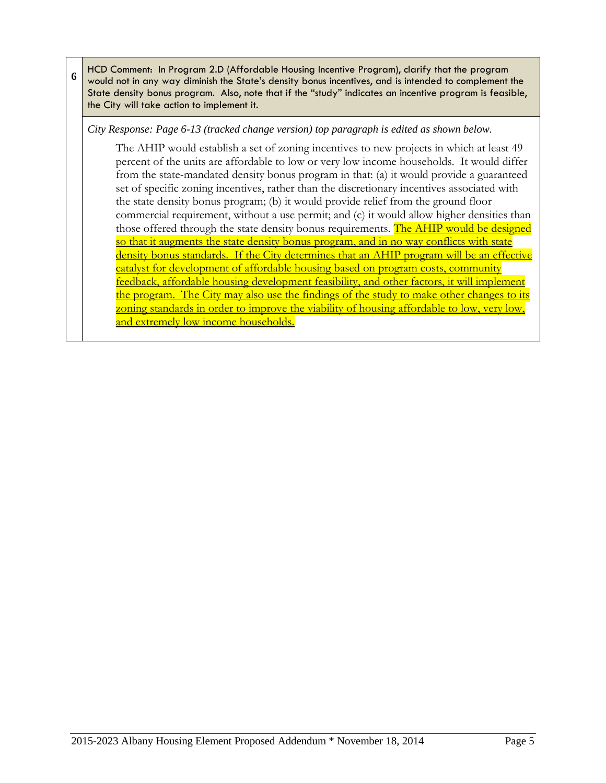**6** HCD Comment: In Program 2.D (Affordable Housing Incentive Program), clarify that the program would not in any way diminish the State's density bonus incentives, and is intended to complement the State density bonus program. Also, note that if the "study" indicates an incentive program is feasible, the City will take action to implement it.

*City Response: Page 6-13 (tracked change version) top paragraph is edited as shown below.* 

The AHIP would establish a set of zoning incentives to new projects in which at least 49 percent of the units are affordable to low or very low income households. It would differ from the state-mandated density bonus program in that: (a) it would provide a guaranteed set of specific zoning incentives, rather than the discretionary incentives associated with the state density bonus program; (b) it would provide relief from the ground floor commercial requirement, without a use permit; and (c) it would allow higher densities than those offered through the state density bonus requirements. The AHIP would be designed so that it augments the state density bonus program, and in no way conflicts with state density bonus standards. If the City determines that an AHIP program will be an effective catalyst for development of affordable housing based on program costs, community feedback, affordable housing development feasibility, and other factors, it will implement the program. The City may also use the findings of the study to make other changes to its zoning standards in order to improve the viability of housing affordable to low, very low, and extremely low income households.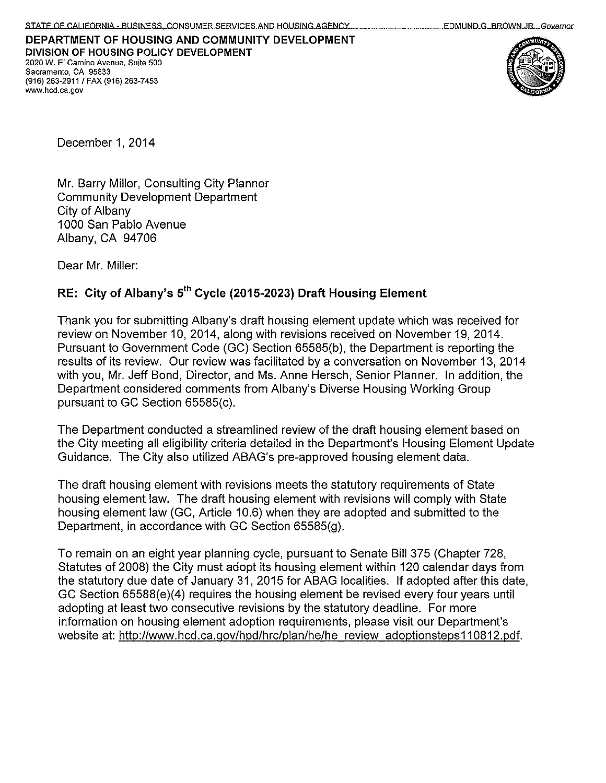

December 1, 2014

Mr. Barry Miller, Consulting City Planner **Community Development Department** City of Albany 1000 San Pablo Avenue Albany, CA 94706

Dear Mr. Miller:

# RE: City of Albany's 5<sup>th</sup> Cycle (2015-2023) Draft Housing Element

Thank you for submitting Albany's draft housing element update which was received for review on November 10, 2014, along with revisions received on November 19, 2014. Pursuant to Government Code (GC) Section 65585(b), the Department is reporting the results of its review. Our review was facilitated by a conversation on November 13, 2014 with you, Mr. Jeff Bond, Director, and Ms. Anne Hersch, Senior Planner. In addition, the Department considered comments from Albany's Diverse Housing Working Group pursuant to GC Section 65585(c).

The Department conducted a streamlined review of the draft housing element based on the City meeting all eligibility criteria detailed in the Department's Housing Element Update Guidance. The City also utilized ABAG's pre-approved housing element data.

The draft housing element with revisions meets the statutory requirements of State housing element law. The draft housing element with revisions will comply with State housing element law (GC, Article 10.6) when they are adopted and submitted to the Department, in accordance with GC Section 65585(g).

To remain on an eight year planning cycle, pursuant to Senate Bill 375 (Chapter 728, Statutes of 2008) the City must adopt its housing element within 120 calendar days from the statutory due date of January 31, 2015 for ABAG localities. If adopted after this date, GC Section 65588(e)(4) requires the housing element be revised every four years until adopting at least two consecutive revisions by the statutory deadline. For more information on housing element adoption requirements, please visit our Department's website at: http://www.hcd.ca.gov/hpd/hrc/plan/he/he review adoptionsteps110812.pdf.